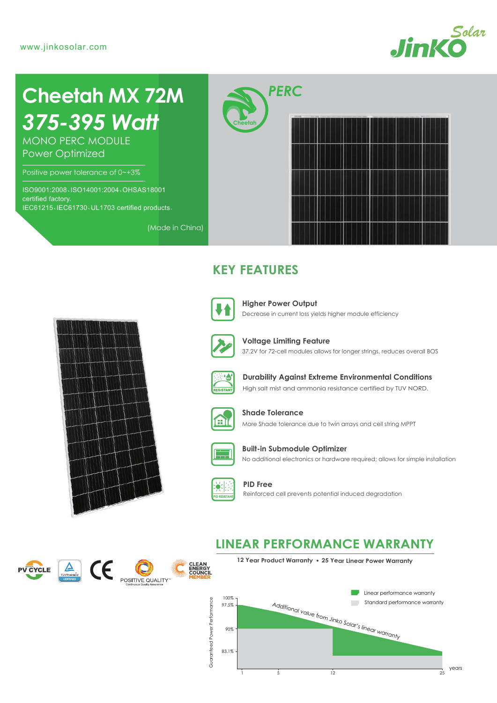

# *375-395 Watt* **Cheetah MX 72M**

MONO PERC MODULE Power Optimized

Positive power tolerance of 0~+3%

ISO9001:2008、ISO14001:2004、OHSAS18001 certified factory. IEC61215、IEC61730、UL1703 certified products. **Cheetah**



## **KEY FEATURES**



(Made in China)

Decrease in current loss yields higher module efficiency **Higher Power Output**



**Voltage Limiting Feature**

37.2V for 72-cell modules allows for longer strings, reduces overall BOS



High salt mist and ammonia resistance certified by TUV NORD. **Durability Against Extreme Environmental Conditions**



More Shade tolerance due to twin arrays and cell string MPPT **Shade Tolerance**



No additional electronics or hardware required; allows for simple installation **Built-in Submodule Optimizer**



**PID Free** Reinforced cell prevents potential induced degradation

## **LINEAR PERFORMANCE WARRANTY**